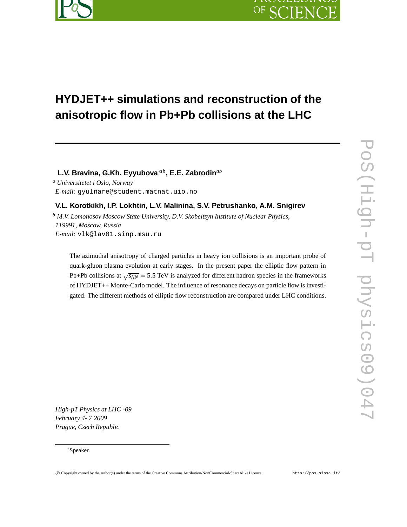

# OF SC EN

# **HYDJET++ simulations and reconstruction of the anisotropic flow in Pb+Pb collisions at the LHC**

**L.V. Bravina, G.Kh. Eyyubova**∗*ab***, E.E. Zabrodin***ab*

*<sup>a</sup> Universitetet i Oslo, Norway E-mail:* gyulnare@student.matnat.uio.no

# **V.L. Korotkikh, I.P. Lokhtin, L.V. Malinina, S.V. Petrushanko, A.M. Snigirev**

*<sup>b</sup> M.V. Lomonosov Moscow State University, D.V. Skobeltsyn Institute of Nuclear Physics, 119991, Moscow, Russia E-mail:* vlk@lav01.sinp.msu.ru

The azimuthal anisotropy of charged particles in heavy ion collisions is an important probe of quark-gluon plasma evolution at early stages. In the present paper the elliptic flow pattern in Pb+Pb collisions at  $\sqrt{s_{NN}}$  = 5.5 TeV is analyzed for different hadron species in the frameworks of HYDJET++ Monte-Carlo model. The influence of resonance decays on particle flow is investigated. The different methods of elliptic flow reconstruction are compared under LHC conditions.

*High-pT Physics at LHC -09 February 4- 7 2009 Prague, Czech Republic*

<sup>∗</sup>Speaker.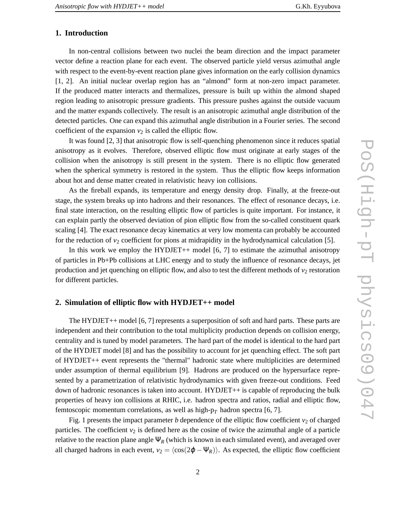## **1. Introduction**

In non-central collisions between two nuclei the beam direction and the impact parameter vector define a reaction plane for each event. The observed particle yield versus azimuthal angle with respect to the event-by-event reaction plane gives information on the early collision dynamics [1, 2]. An initial nuclear overlap region has an "almond" form at non-zero impact parameter. If the produced matter interacts and thermalizes, pressure is built up within the almond shaped region leading to anisotropic pressure gradients. This pressure pushes against the outside vacuum and the matter expands collectively. The result is an anisotropic azimuthal angle distribution of the detected particles. One can expand this azimuthal angle distribution in a Fourier series. The second coefficient of the expansion  $v_2$  is called the elliptic flow.

It was found [2, 3] that anisotropic flow is self-quenching phenomenon since it reduces spatial anisotropy as it evolves. Therefore, observed elliptic flow must originate at early stages of the collision when the anisotropy is still present in the system. There is no elliptic flow generated when the spherical symmetry is restored in the system. Thus the elliptic flow keeps information about hot and dense matter created in relativistic heavy ion collisions.

As the fireball expands, its temperature and energy density drop. Finally, at the freeze-out stage, the system breaks up into hadrons and their resonances. The effect of resonance decays, i.e. final state interaction, on the resulting elliptic flow of particles is quite important. For instance, it can explain partly the observed deviation of pion elliptic flow from the so-called constituent quark scaling [4]. The exact resonance decay kinematics at very low momenta can probably be accounted for the reduction of  $v_2$  coefficient for pions at midrapidity in the hydrodynamical calculation [5].

In this work we employ the HYDJET $++$  model [6, 7] to estimate the azimuthal anisotropy of particles in Pb+Pb collisions at LHC energy and to study the influence of resonance decays, jet production and jet quenching on elliptic flow, and also to test the different methods of  $v_2$  restoration for different particles.

#### **2. Simulation of elliptic flow with HYDJET++ model**

The HYDJET++ model [6, 7] represents a superposition of soft and hard parts. These parts are independent and their contribution to the total multiplicity production depends on collision energy, centrality and is tuned by model parameters. The hard part of the model is identical to the hard part of the HYDJET model [8] and has the possibility to account for jet quenching effect. The soft part of HYDJET++ event represents the "thermal" hadronic state where multiplicities are determined under assumption of thermal equilibrium [9]. Hadrons are produced on the hypersurface represented by a parametrization of relativistic hydrodynamics with given freeze-out conditions. Feed down of hadronic resonances is taken into account. HYDJET++ is capable of reproducing the bulk properties of heavy ion collisions at RHIC, i.e. hadron spectra and ratios, radial and elliptic flow, femtoscopic momentum correlations, as well as high- $p<sub>T</sub>$  hadron spectra [6, 7].

Fig. 1 presents the impact parameter *b* dependence of the elliptic flow coefficient  $v_2$  of charged particles. The coefficient  $v_2$  is defined here as the cosine of twice the azimuthal angle of a particle relative to the reaction plane angle  $\Psi_R$  (which is known in each simulated event), and averaged over all charged hadrons in each event,  $v_2 = \langle \cos(2\varphi - \Psi_R) \rangle$ . As expected, the elliptic flow coefficient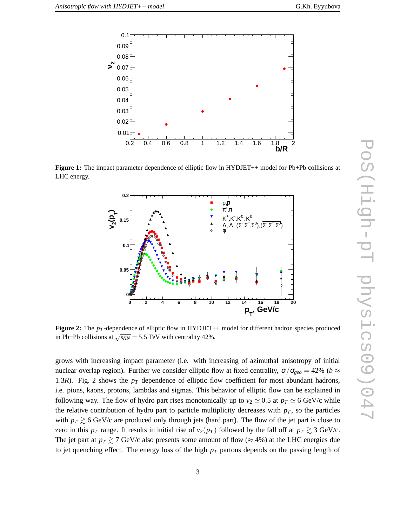

**Figure 1:** The impact parameter dependence of elliptic flow in HYDJET++ model for Pb+Pb collisions at LHC energy.



**Figure 2:** The  $p_T$ -dependence of elliptic flow in HYDJET++ model for different hadron species produced in Pb+Pb collisions at  $\sqrt{s_{NN}}$  = 5.5 TeV with centrality 42%.

grows with increasing impact parameter (i.e. with increasing of azimuthal anisotropy of initial nuclear overlap region). Further we consider elliptic flow at fixed centrality,  $\sigma/\sigma_{geo} = 42\%$  (*b* ≈ 1.3*R*). Fig. 2 shows the *p<sup>T</sup>* dependence of elliptic flow coefficient for most abundant hadrons, i.e. pions, kaons, protons, lambdas and sigmas. This behavior of elliptic flow can be explained in following way. The flow of hydro part rises monotonically up to  $v_2 \approx 0.5$  at  $p_T \approx 6$  GeV/c while the relative contribution of hydro part to particle multiplicity decreases with  $p<sub>T</sub>$ , so the particles with  $p_T \gtrsim 6$  GeV/c are produced only through jets (hard part). The flow of the jet part is close to zero in this  $p_T$  range. It results in initial rise of  $v_2(p_T)$  followed by the fall off at  $p_T \gtrsim 3$  GeV/c. The jet part at  $p_T \geq 7$  GeV/c also presents some amount of flow ( $\approx 4\%$ ) at the LHC energies due to jet quenching effect. The energy loss of the high *p<sup>T</sup>* partons depends on the passing length of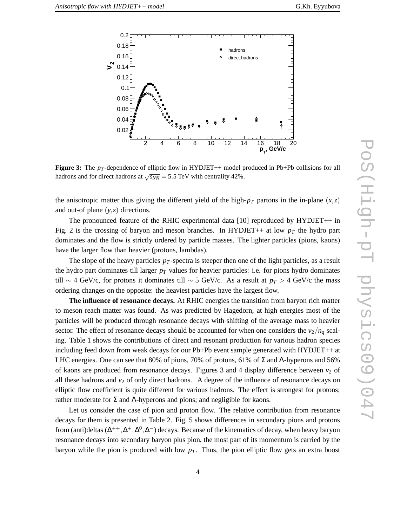

**Figure 3:** The  $p<sub>T</sub>$ -dependence of elliptic flow in HYDJET++ model produced in Pb+Pb collisions for all hadrons and for direct hadrons at  $\sqrt{s_{NN}}$  = 5.5 TeV with centrality 42%.

the anisotropic matter thus giving the different yield of the high- $p_T$  partons in the in-plane  $(x, z)$ and out-of plane (*y*,*z*) directions.

The pronounced feature of the RHIC experimental data [10] reproduced by HYDJET++ in Fig. 2 is the crossing of baryon and meson branches. In HYDJET++ at low  $p<sub>T</sub>$  the hydro part dominates and the flow is strictly ordered by particle masses. The lighter particles (pions, kaons) have the larger flow than heavier (protons, lambdas).

The slope of the heavy particles  $p_T$ -spectra is steeper then one of the light particles, as a result the hydro part dominates till larger *p<sup>T</sup>* values for heavier particles: i.e. for pions hydro dominates till ∼ 4 GeV/c, for protons it dominates till ∼ 5 GeV/c. As a result at  $p_T > 4$  GeV/c the mass ordering changes on the opposite: the heaviest particles have the largest flow.

**The influence of resonance decays.** At RHIC energies the transition from baryon rich matter to meson reach matter was found. As was predicted by Hagedorn, at high energies most of the particles will be produced through resonance decays with shifting of the average mass to heavier sector. The effect of resonance decays should be accounted for when one considers the  $v_2/n_q$  scaling. Table 1 shows the contributions of direct and resonant production for various hadron species including feed down from weak decays for our Pb+Pb event sample generated with HYDJET++ at LHC energies. One can see that 80% of pions, 70% of protons, 61% of  $\Sigma$  and  $\Lambda$ -hyperons and 56% of kaons are produced from resonance decays. Figures 3 and 4 display difference between  $v_2$  of all these hadrons and  $v_2$  of only direct hadrons. A degree of the influence of resonance decays on elliptic flow coefficient is quite different for various hadrons. The effect is strongest for protons; rather moderate for Σ and Λ-hyperons and pions; and negligible for kaons.

Let us consider the case of pion and proton flow. The relative contribution from resonance decays for them is presented in Table 2. Fig. 5 shows differences in secondary pions and protons from (anti)deltas ( $\Delta^{++}, \Delta^+, \Delta^0, \Delta^-$ ) decays. Because of the kinematics of decay, when heavy baryon resonance decays into secondary baryon plus pion, the most part of its momentum is carried by the baryon while the pion is produced with low  $p<sub>T</sub>$ . Thus, the pion elliptic flow gets an extra boost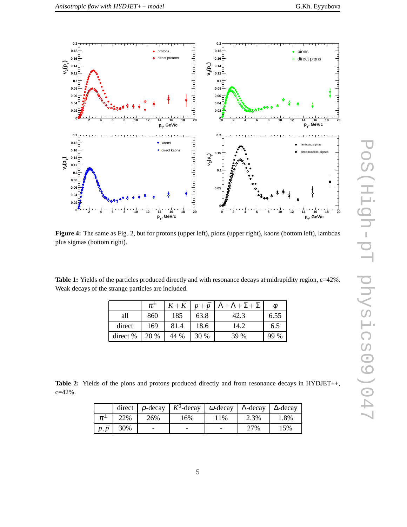

**Figure 4:** The same as Fig. 2, but for protons (upper left), pions (upper right), kaons (bottom left), lambdas plus sigmas (bottom right).

Table 1: Yields of the particles produced directly and with resonance decays at midrapidity region, c=42%. Weak decays of the strange particles are included.

|          | $\pi^{\scriptscriptstyle \pm}$ | $K + K$ | $p + \bar{p}$ | $\Lambda + \Lambda + \Sigma + \Sigma$ |      |
|----------|--------------------------------|---------|---------------|---------------------------------------|------|
| all      | 860                            | 185     | 63.8          | 42.3                                  | 6.55 |
| direct   | 169                            | 81.4    | 18.6          | 14.2                                  | 6.5  |
| direct % | 20 %                           | 44 %    | 30 %          | 39 %                                  | 99 % |

Table 2: Yields of the pions and protons produced directly and from resonance decays in HYDJET++, c=42%.

|             |                  |     | direct $\rho$ -decay $K^0$ -decay $\omega$ -decay $\Lambda$ -decay $\Delta$ -decay |     |      |      |
|-------------|------------------|-----|------------------------------------------------------------------------------------|-----|------|------|
| $\pi^{\pm}$ | 22%              | 26% | 16%                                                                                | 11% | 2.3% | 1.8% |
|             | $p, \bar{p}$ 30% |     |                                                                                    |     | 27%  | 15%  |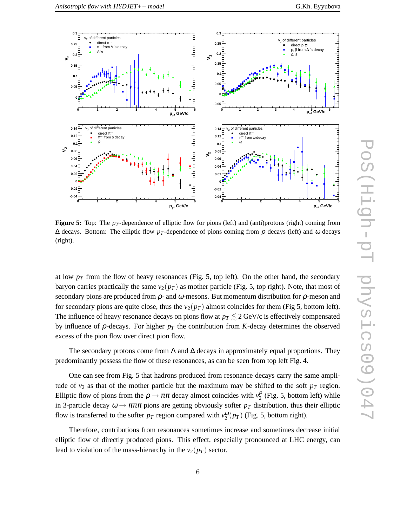

**Figure 5:** Top: The *p<sub>T</sub>* -dependence of elliptic flow for pions (left) and (anti)protons (right) coming from  $\Delta$  decays. Bottom: The elliptic flow *p<sub>T</sub>*-dependence of pions coming from  $\rho$  decays (left) and  $\omega$  decays (right).

at low  $p_T$  from the flow of heavy resonances (Fig. 5, top left). On the other hand, the secondary baryon carries practically the same  $v_2(p_T)$  as mother particle (Fig. 5, top right). Note, that most of secondary pions are produced from  $\rho$ - and  $\omega$ -mesons. But momentum distribution for  $\rho$ -meson and for secondary pions are quite close, thus the  $v_2(p_T)$  almost coincides for them (Fig 5, bottom left). The influence of heavy resonance decays on pions flow at  $p_T \lesssim 2 \text{ GeV/c}$  is effectively compensated by influence of  $\rho$ -decays. For higher  $p_T$  the contribution from *K*-decay determines the observed excess of the pion flow over direct pion flow.

The secondary protons come from  $\Lambda$  and  $\Delta$  decays in approximately equal proportions. They predominantly possess the flow of these resonances, as can be seen from top left Fig. 4.

One can see from Fig. 5 that hadrons produced from resonance decays carry the same amplitude of  $v_2$  as that of the mother particle but the maximum may be shifted to the soft  $p_T$  region. Elliptic flow of pions from the  $\rho \to \pi \pi$  decay almost coincides with  $v_2^{\rho}$  (Fig. 5, bottom left) while in 3-particle decay  $\omega \to \pi \pi \pi$  pions are getting obviously softer  $p_T$  distribution, thus their elliptic flow is transferred to the softer  $p_T$  region compared with  $v_2^{\omega}(p_T)$  (Fig. 5, bottom right).

Therefore, contributions from resonances sometimes increase and sometimes decrease initial elliptic flow of directly produced pions. This effect, especially pronounced at LHC energy, can lead to violation of the mass-hierarchy in the  $v_2(p_T)$  sector.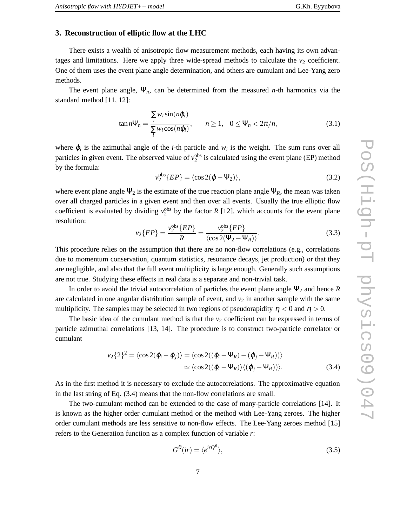## **3. Reconstruction of elliptic flow at the LHC**

There exists a wealth of anisotropic flow measurement methods, each having its own advantages and limitations. Here we apply three wide-spread methods to calculate the  $v_2$  coefficient. One of them uses the event plane angle determination, and others are cumulant and Lee-Yang zero methods.

The event plane angle, Ψ*n*, can be determined from the measured *n*-th harmonics via the standard method [11, 12]:

$$
\tan n\Psi_n = \frac{\sum_i w_i \sin(n\varphi_i)}{\sum_i w_i \cos(n\varphi_i)}, \qquad n \ge 1, \quad 0 \le \Psi_n < 2\pi/n,\tag{3.1}
$$

where  $\varphi_i$  is the azimuthal angle of the *i*-th particle and  $w_i$  is the weight. The sum runs over all particles in given event. The observed value of  $v_2^{\text{obs}}$  is calculated using the event plane (EP) method by the formula:

$$
v_2^{\text{obs}}\{EP\} = \langle \cos 2(\varphi - \Psi_2) \rangle, \tag{3.2}
$$

where event plane angle  $\Psi_2$  is the estimate of the true reaction plane angle  $\Psi_R$ , the mean was taken over all charged particles in a given event and then over all events. Usually the true elliptic flow coefficient is evaluated by dividing  $v_2^{\text{obs}}$  by the factor *R* [12], which accounts for the event plane resolution:

$$
v_2\{EP\} = \frac{v_2^{\text{obs}}\{EP\}}{R} = \frac{v_2^{\text{obs}}\{EP\}}{\langle \cos 2(\Psi_2 - \Psi_R) \rangle}.
$$
 (3.3)

This procedure relies on the assumption that there are no non-flow correlations (e.g., correlations due to momentum conservation, quantum statistics, resonance decays, jet production) or that they are negligible, and also that the full event multiplicity is large enough. Generally such assumptions are not true. Studying these effects in real data is a separate and non-trivial task.

In order to avoid the trivial autocorrelation of particles the event plane angle  $\Psi_2$  and hence *R* are calculated in one angular distribution sample of event, and  $v<sub>2</sub>$  in another sample with the same multiplicity. The samples may be selected in two regions of pseudorapidity  $\eta < 0$  and  $\eta > 0$ .

The basic idea of the cumulant method is that the  $v<sub>2</sub>$  coefficient can be expressed in terms of particle azimuthal correlations [13, 14]. The procedure is to construct two-particle correlator or cumulant

$$
v_2\{2\}^2 = \langle \cos 2(\varphi_i - \varphi_j) \rangle = \langle \cos 2((\varphi_i - \Psi_R) - (\varphi_j - \Psi_R)) \rangle
$$
  
 
$$
\simeq \langle \cos 2((\varphi_i - \Psi_R)) \rangle \langle (\varphi_j - \Psi_R)) \rangle.
$$
 (3.4)

As in the first method it is necessary to exclude the autocorrelations. The approximative equation in the last string of Eq. (3.4) means that the non-flow correlations are small.

The two-cumulant method can be extended to the case of many-particle correlations [14]. It is known as the higher order cumulant method or the method with Lee-Yang zeroes. The higher order cumulant methods are less sensitive to non-flow effects. The Lee-Yang zeroes method [15] refers to the Generation function as a complex function of variable *r*:

$$
G^{\theta}(ir) = \langle e^{irQ^{\theta}} \rangle, \tag{3.5}
$$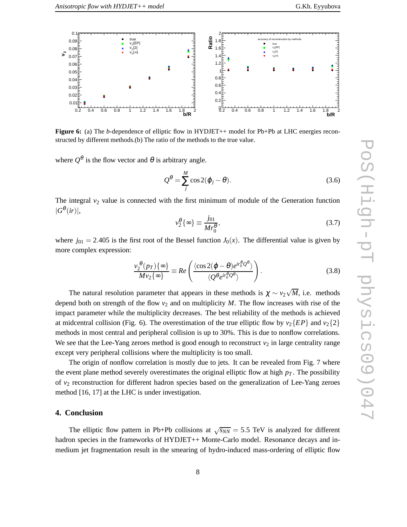

**Figure 6:** (a) The *b*-dependence of elliptic flow in HYDJET++ model for Pb+Pb at LHC energies reconstructed by different methods.(b) The ratio of the methods to the true value.

where  $Q^{\theta}$  is the flow vector and  $\theta$  is arbitrary angle.

$$
Q^{\theta} = \sum_{j}^{M} \cos 2(\varphi_j - \theta). \tag{3.6}
$$

The integral  $v_2$  value is connected with the first minimum of module of the Generation function  $|G^{\theta}(ir)|,$ 

$$
\nu_2^{\theta} \{ \infty \} \equiv \frac{j_{01}}{Mr_0^{\theta}},\tag{3.7}
$$

where  $j_{01} = 2.405$  is the first root of the Bessel function  $J_0(x)$ . The differential value is given by more complex expression:

$$
\frac{v_2^{\theta}(p_T)\{\infty\}}{Mv_2\{\infty\}} \equiv Re\left(\frac{\langle\cos 2(\varphi-\theta)e^{ir_0^{\theta}}2^{\theta}\rangle}{\langle Q^{\theta}e^{ir_0^{\theta}}2^{\theta}\rangle}\right).
$$
(3.8)

The natural resolution parameter that appears in these methods is  $\chi \sim v_2 \sqrt{M}$ , i.e. methods depend both on strength of the flow  $v_2$  and on multiplicity *M*. The flow increases with rise of the impact parameter while the multiplicity decreases. The best reliability of the methods is achieved at midcentral collision (Fig. 6). The overestimation of the true elliptic flow by  $v_2\{EP\}$  and  $v_2\{2\}$ methods in most central and peripheral collision is up to 30%. This is due to nonflow correlations. We see that the Lee-Yang zeroes method is good enough to reconstruct  $v_2$  in large centrality range except very peripheral collisions where the multiplicity is too small.

The origin of nonflow correlation is mostly due to jets. It can be revealed from Fig. 7 where the event plane method severely overestimates the original elliptic flow at high  $p_T$ . The possibility of *v*<sup>2</sup> reconstruction for different hadron species based on the generalization of Lee-Yang zeroes method [16, 17] at the LHC is under investigation.

# **4. Conclusion**

The elliptic flow pattern in Pb+Pb collisions at  $\sqrt{s_{NN}} = 5.5$  TeV is analyzed for different hadron species in the frameworks of HYDJET++ Monte-Carlo model. Resonance decays and inmedium jet fragmentation result in the smearing of hydro-induced mass-ordering of elliptic flow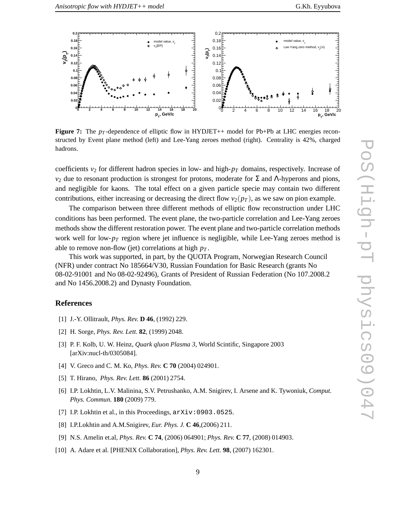

**Figure 7:** The  $p_T$ -dependence of elliptic flow in HYDJET++ model for Pb+Pb at LHC energies reconstructed by Event plane method (left) and Lee-Yang zeroes method (right). Centrality is 42%, charged hadrons.

coefficients  $v_2$  for different hadron species in low- and high- $p_T$  domains, respectively. Increase of  $v<sub>2</sub>$  due to resonant production is strongest for protons, moderate for Σ and Λ-hyperons and pions, and negligible for kaons. The total effect on a given particle specie may contain two different contributions, either increasing or decreasing the direct flow  $v_2(p_T)$ , as we saw on pion example.

The comparison between three different methods of elliptic flow reconstruction under LHC conditions has been performed. The event plane, the two-particle correlation and Lee-Yang zeroes methods show the different restoration power. The event plane and two-particle correlation methods work well for low- $p_T$  region where jet influence is negligible, while Lee-Yang zeroes method is able to remove non-flow (jet) correlations at high *p<sup>T</sup>* .

This work was supported, in part, by the QUOTA Program, Norwegian Research Council (NFR) under contract No 185664/V30, Russian Foundation for Basic Research (grants No 08-02-91001 and No 08-02-92496), Grants of President of Russian Federation (No 107.2008.2 and No 1456.2008.2) and Dynasty Foundation.

### **References**

- [1] J.-Y. Ollitrault, *Phys. Rev.* **D 46**, (1992) 229.
- [2] H. Sorge, *Phys. Rev. Lett.* **82**, (1999) 2048.
- [3] P. F. Kolb, U. W. Heinz, *Quark qluon Plasma 3*, World Scintific, Singapore 2003 [arXiv:nucl-th/0305084].
- [4] V. Greco and C. M. Ko, *Phys. Rev.* **C 70** (2004) 024901.
- [5] T. Hirano, *Phys. Rev. Lett.* **86** (2001) 2754.
- [6] I.P. Lokhtin, L.V. Malinina, S.V. Petrushanko, A.M. Snigirev, I. Arsene and K. Tywoniuk, *Comput. Phys. Commun.* **180** (2009) 779.
- [7] I.P. Lokhtin et al., in this Proceedings,  $arXiv:0903.0525$ .
- [8] I.P.Lokhtin and A.M.Snigirev, *Eur. Phys. J.* **C 46**,(2006) 211.
- [9] N.S. Amelin et.al, *Phys. Rev.* **C 74**, (2006) 064901; *Phys. Rev.* **C 77**, (2008) 014903.
- [10] A. Adare et al. [PHENIX Collaboration], *Phys. Rev. Lett.* **98**, (2007) 162301.